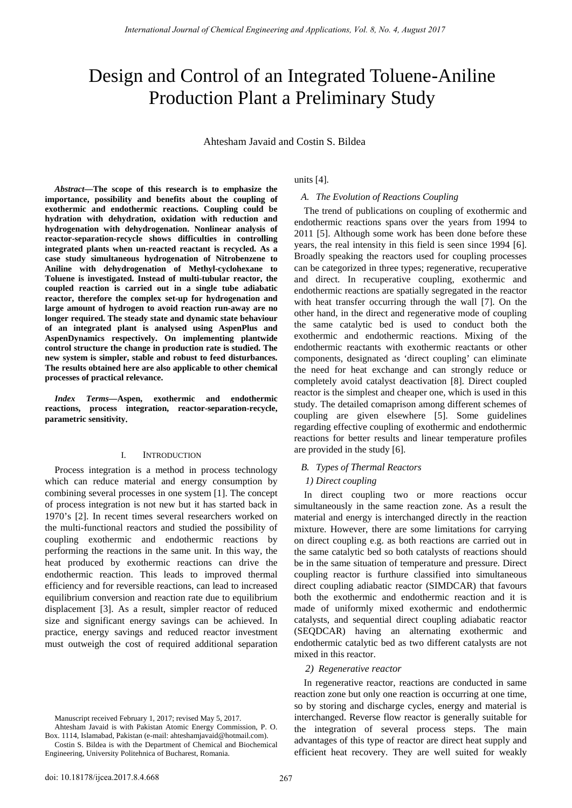# Design and Control of an Integrated Toluene-Aniline Production Plant a Preliminary Study

Ahtesham Javaid and Costin S. Bildea

*Abstract***—The scope of this research is to emphasize the importance, possibility and benefits about the coupling of exothermic and endothermic reactions. Coupling could be hydration with dehydration, oxidation with reduction and hydrogenation with dehydrogenation. Nonlinear analysis of reactor-separation-recycle shows difficulties in controlling integrated plants when un-reacted reactant is recycled. As a case study simultaneous hydrogenation of Nitrobenzene to Aniline with dehydrogenation of Methyl-cyclohexane to Toluene is investigated. Instead of multi-tubular reactor, the coupled reaction is carried out in a single tube adiabatic reactor, therefore the complex set-up for hydrogenation and large amount of hydrogen to avoid reaction run-away are no longer required. The steady state and dynamic state behaviour of an integrated plant is analysed using AspenPlus and AspenDynamics respectively. On implementing plantwide control structure the change in production rate is studied. The new system is simpler, stable and robust to feed disturbances. The results obtained here are also applicable to other chemical processes of practical relevance.** 

*Index Terms***—Aspen, exothermic and endothermic reactions, process integration, reactor-separation-recycle, parametric sensitivity**.

## I. INTRODUCTION

Process integration is a method in process technology which can reduce material and energy consumption by combining several processes in one system [1]. The concept of process integration is not new but it has started back in 1970's [2]. In recent times several researchers worked on the multi-functional reactors and studied the possibility of coupling exothermic and endothermic reactions by performing the reactions in the same unit. In this way, the heat produced by exothermic reactions can drive the endothermic reaction. This leads to improved thermal efficiency and for reversible reactions, can lead to increased equilibrium conversion and reaction rate due to equilibrium displacement [3]. As a result, simpler reactor of reduced size and significant energy savings can be achieved. In practice, energy savings and reduced reactor investment must outweigh the cost of required additional separation units [4].

# *A. The Evolution of Reactions Coupling*

The trend of publications on coupling of exothermic and endothermic reactions spans over the years from 1994 to 2011 [5]. Although some work has been done before these years, the real intensity in this field is seen since 1994 [6]. Broadly speaking the reactors used for coupling processes can be categorized in three types; regenerative, recuperative and direct. In recuperative coupling, exothermic and endothermic reactions are spatially segregated in the reactor with heat transfer occurring through the wall [7]. On the other hand, in the direct and regenerative mode of coupling the same catalytic bed is used to conduct both the exothermic and endothermic reactions. Mixing of the endothermic reactants with exothermic reactants or other components, designated as 'direct coupling' can eliminate the need for heat exchange and can strongly reduce or completely avoid catalyst deactivation [8]. Direct coupled reactor is the simplest and cheaper one, which is used in this study. The detailed comaprison among different schemes of coupling are given elsewhere [5]. Some guidelines regarding effective coupling of exothermic and endothermic reactions for better results and linear temperature profiles are provided in the study [6].

## *B. Types of Thermal Reactors*

## *1) Direct coupling*

In direct coupling two or more reactions occur simultaneously in the same reaction zone. As a result the material and energy is interchanged directly in the reaction mixture. However, there are some limitations for carrying on direct coupling e.g. as both reactions are carried out in the same catalytic bed so both catalysts of reactions should be in the same situation of temperature and pressure. Direct coupling reactor is furthure classified into simultaneous direct coupling adiabatic reactor (SIMDCAR) that favours both the exothermic and endothermic reaction and it is made of uniformly mixed exothermic and endothermic catalysts, and sequential direct coupling adiabatic reactor (SEQDCAR) having an alternating exothermic and endothermic catalytic bed as two different catalysts are not mixed in this reactor.

#### *2) Regenerative reactor*

In regenerative reactor, reactions are conducted in same reaction zone but only one reaction is occurring at one time, so by storing and discharge cycles, energy and material is interchanged. Reverse flow reactor is generally suitable for the integration of several process steps. The main advantages of this type of reactor are direct heat supply and efficient heat recovery. They are well suited for weakly

Manuscript received February 1, 2017; revised May 5, 2017.

Ahtesham Javaid is with Pakistan Atomic Energy Commission, P. O. Box. 1114, Islamabad, Pakistan (e-mail: ahteshamjavaid@hotmail.com).

Costin S. Bildea is with the Department of Chemical and Biochemical Engineering, University Politehnica of Bucharest, Romania.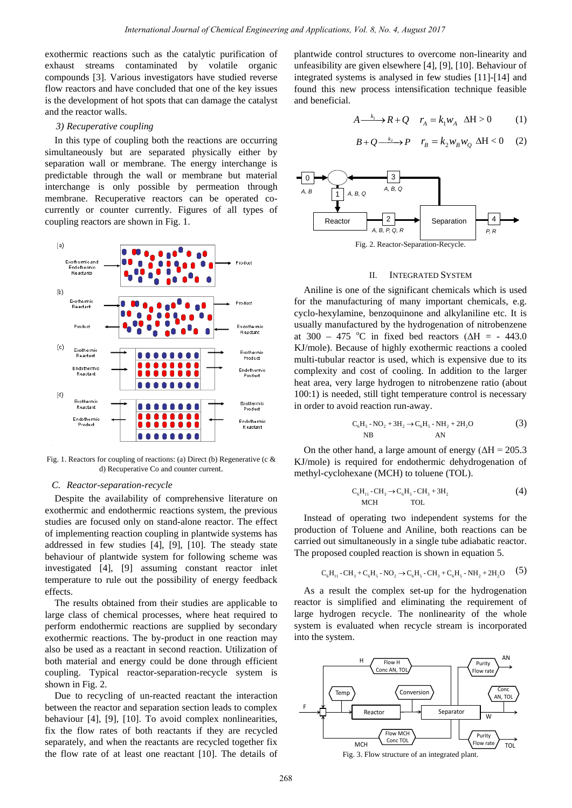exothermic reactions such as the catalytic purification of exhaust streams contaminated by volatile organic compounds [3]. Various investigators have studied reverse flow reactors and have concluded that one of the key issues is the development of hot spots that can damage the catalyst and the reactor walls.

# *3) Recuperative coupling*

In this type of coupling both the reactions are occurring simultaneously but are separated physically either by separation wall or membrane. The energy interchange is predictable through the wall or membrane but material interchange is only possible by permeation through membrane. Recuperative reactors can be operated cocurrently or counter currently. Figures of all types of coupling reactors are shown in Fig. 1.



Fig. 1. Reactors for coupling of reactions: (a) Direct (b) Regenerative (c & d) Recuperative Co and counter current.

## *C. Reactor-separation-recycle*

Despite the availability of comprehensive literature on exothermic and endothermic reactions system, the previous studies are focused only on stand-alone reactor. The effect of implementing reaction coupling in plantwide systems has addressed in few studies [4], [9], [10]. The steady state behaviour of plantwide system for following scheme was investigated [4], [9] assuming constant reactor inlet temperature to rule out the possibility of energy feedback effects.

The results obtained from their studies are applicable to large class of chemical processes, where heat required to perform endothermic reactions are supplied by secondary exothermic reactions. The by-product in one reaction may also be used as a reactant in second reaction. Utilization of both material and energy could be done through efficient coupling. Typical reactor-separation-recycle system is shown in Fig. 2.

Due to recycling of un-reacted reactant the interaction between the reactor and separation section leads to complex behaviour [4], [9], [10]. To avoid complex nonlinearities, fix the flow rates of both reactants if they are recycled separately, and when the reactants are recycled together fix the flow rate of at least one reactant [10]. The details of plantwide control structures to overcome non-linearity and unfeasibility are given elsewhere [4], [9], [10]. Behaviour of integrated systems is analysed in few studies [11]-[14] and found this new process intensification technique feasible and beneficial.

$$
A \xrightarrow{k_1} R + Q \quad r_A = k_1 w_A \quad \Delta H > 0 \tag{1}
$$

$$
B + Q \xrightarrow{k_2} P \quad r_B = k_2 w_B w_Q \ \Delta H < 0 \tag{2}
$$



#### II. INTEGRATED SYSTEM

Aniline is one of the significant chemicals which is used for the manufacturing of many important chemicals, e.g. cyclo-hexylamine, benzoquinone and alkylaniline etc. It is usually manufactured by the hydrogenation of nitrobenzene at 300 – 475 °C in fixed bed reactors ( $\Delta H = -443.0$ KJ/mole). Because of highly exothermic reactions a cooled multi-tubular reactor is used, which is expensive due to its complexity and cost of cooling. In addition to the larger heat area, very large hydrogen to nitrobenzene ratio (about 100:1) is needed, still tight temperature control is necessary in order to avoid reaction run-away.

$$
C_6H_5 - NO_2 + 3H_2 \to C_6H_5 - NH_2 + 2H_2O
$$
\n<sup>(3)</sup>\n<sup>NP</sup>

On the other hand, a large amount of energy ( $\Delta H = 205.3$ ) KJ/mole) is required for endothermic dehydrogenation of methyl-cyclohexane (MCH) to toluene (TOL).

$$
C_6H_{11} - CH_3 \rightarrow C_6H_5 - CH_3 + 3H_2
$$
 (4)  
MCH TOL

Instead of operating two independent systems for the production of Toluene and Aniline, both reactions can be carried out simultaneously in a single tube adiabatic reactor. The proposed coupled reaction is shown in equation 5.

$$
C_6H_{11} - CH_3 + C_6H_5 - NO_2 \rightarrow C_6H_5 - CH_3 + C_6H_5 - NH_2 + 2H_2O \tag{5}
$$

As a result the complex set-up for the hydrogenation reactor is simplified and eliminating the requirement of large hydrogen recycle. The nonlinearity of the whole system is evaluated when recycle stream is incorporated into the system.

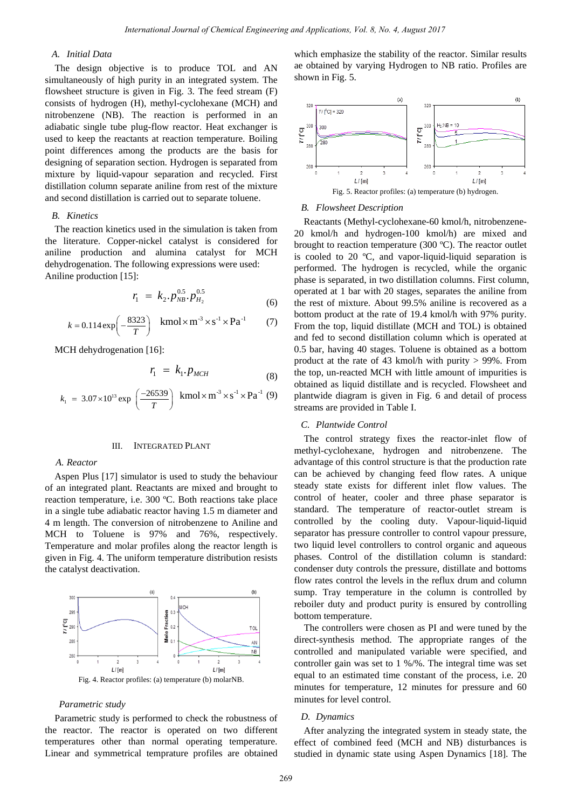# *A. Initial Data*

The design objective is to produce TOL and AN simultaneously of high purity in an integrated system. The flowsheet structure is given in Fig. 3. The feed stream (F) consists of hydrogen (H), methyl-cyclohexane (MCH) and nitrobenzene (NB). The reaction is performed in an adiabatic single tube plug-flow reactor. Heat exchanger is used to keep the reactants at reaction temperature. Boiling point differences among the products are the basis for designing of separation section. Hydrogen is separated from mixture by liquid-vapour separation and recycled. First distillation column separate aniline from rest of the mixture and second distillation is carried out to separate toluene.

# *B. Kinetics*

The reaction kinetics used in the simulation is taken from the literature. Copper-nickel catalyst is considered for aniline production and alumina catalyst for MCH dehydrogenation. The following expressions were used: Aniline production [15]:

$$
r_1 = k_2 \cdot p_{NB}^{0.5} \cdot p_{H_2}^{0.5} \tag{6}
$$

$$
k = 0.114 \exp\left(-\frac{8323}{T}\right)
$$
 kmol × m<sup>-3</sup> × s<sup>-1</sup> × Pa<sup>-1</sup> (7)

MCH dehydrogenation [16]:

$$
r_1 = k_1 \cdot p_{MCH} \tag{8}
$$

$$
k_1 = 3.07 \times 10^{13} \exp\left(\frac{-26539}{T}\right) \text{ kmol} \times \text{m}^{-3} \times \text{s}^{-1} \times \text{Pa}^{-1} \text{ (9)}
$$

## III. INTEGRATED PLANT

#### *A. Reactor*

Aspen Plus [17] simulator is used to study the behaviour of an integrated plant. Reactants are mixed and brought to reaction temperature, i.e. 300 ºC. Both reactions take place in a single tube adiabatic reactor having 1.5 m diameter and 4 m length. The conversion of nitrobenzene to Aniline and MCH to Toluene is 97% and 76%, respectively. Temperature and molar profiles along the reactor length is given in Fig. 4. The uniform temperature distribution resists the catalyst deactivation.



#### *Parametric study*

Parametric study is performed to check the robustness of the reactor. The reactor is operated on two different temperatures other than normal operating temperature. Linear and symmetrical temprature profiles are obtained which emphasize the stability of the reactor. Similar results ae obtained by varying Hydrogen to NB ratio. Profiles are shown in Fig. 5.



### *B. Flowsheet Description*

Reactants (Methyl-cyclohexane-60 kmol/h, nitrobenzene-20 kmol/h and hydrogen-100 kmol/h) are mixed and brought to reaction temperature (300 ºC). The reactor outlet is cooled to 20 ºC, and vapor-liquid-liquid separation is performed. The hydrogen is recycled, while the organic phase is separated, in two distillation columns. First column, operated at 1 bar with 20 stages, separates the aniline from the rest of mixture. About 99.5% aniline is recovered as a bottom product at the rate of 19.4 kmol/h with 97% purity. From the top, liquid distillate (MCH and TOL) is obtained and fed to second distillation column which is operated at 0.5 bar, having 40 stages. Toluene is obtained as a bottom product at the rate of 43 kmol/h with purity > 99%. From the top, un-reacted MCH with little amount of impurities is obtained as liquid distillate and is recycled. Flowsheet and plantwide diagram is given in Fig. 6 and detail of process streams are provided in Table I. *International Journal of Chemical Contents*, The Research of Chemical Engineering and Applications Using Engineering and Applications (Specifical Distributions (Specifical Engineering and Applications (Specifical Content

# *C. Plantwide Control*

The control strategy fixes the reactor-inlet flow of methyl-cyclohexane, hydrogen and nitrobenzene. The advantage of this control structure is that the production rate can be achieved by changing feed flow rates. A unique steady state exists for different inlet flow values. The control of heater, cooler and three phase separator is standard. The temperature of reactor-outlet stream is controlled by the cooling duty. Vapour-liquid-liquid separator has pressure controller to control vapour pressure, two liquid level controllers to control organic and aqueous phases. Control of the distillation column is standard: condenser duty controls the pressure, distillate and bottoms flow rates control the levels in the reflux drum and column sump. Tray temperature in the column is controlled by reboiler duty and product purity is ensured by controlling bottom temperature.

The controllers were chosen as PI and were tuned by the direct-synthesis method. The appropriate ranges of the controlled and manipulated variable were specified, and controller gain was set to 1 %/%. The integral time was set equal to an estimated time constant of the process, i.e. 20 minutes for temperature, 12 minutes for pressure and 60 minutes for level control.

## *D. Dynamics*

After analyzing the integrated system in steady state, the effect of combined feed (MCH and NB) disturbances is studied in dynamic state using Aspen Dynamics [18]. The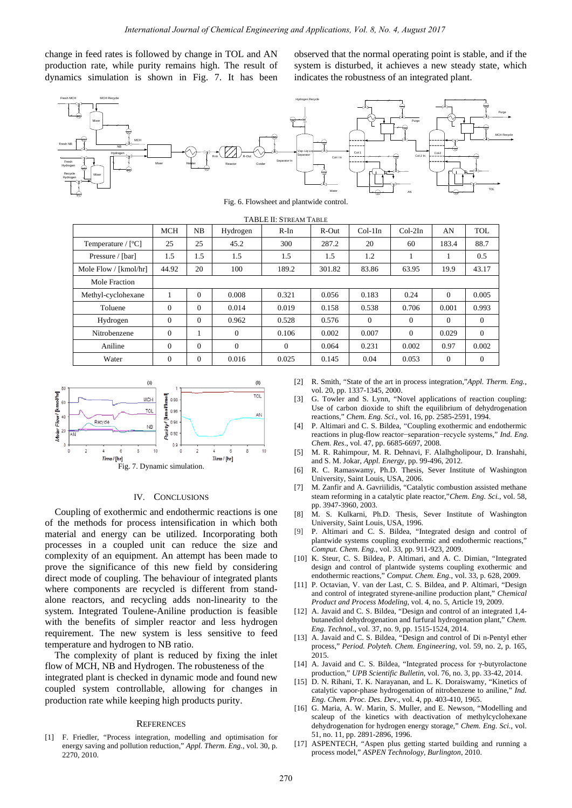change in feed rates is followed by change in TOL and AN production rate, while purity remains high. The result of dynamics simulation is shown in Fig. 7. It has been observed that the normal operating point is stable, and if the system is disturbed, it achieves a new steady state, which indicates the robustness of an integrated plant.



TABLE II: STREAM TABLE

|                                                                                                                                                                                                                                                                                                                                                                                                                                                                                                                                                                                                                                                                                                                                                                                                                                                                                                                                                                                                                                                                                                                                                                                                                                                                                                                                                                                                                                                                                                                                                                                                                                                                                                                                                                                                                                                                                                                                                                                                                                                                                                                                                                                                                                                                                                                                                                                                                                                                                                                                                                                                                                                                                                                                                                                                                                                                                                                                                                                                                                                                                                                                                                                                                                                                                                                                                                                                                                                                                                                                                                                                                                                                                                                                                                                                                                                                  |                  |                  | International Journal of Chemical Engineering and Applications, Vol. 8, No. 4, August 2017 |                                          |          |               |                                                                                                                                                                     |                          |                  |
|------------------------------------------------------------------------------------------------------------------------------------------------------------------------------------------------------------------------------------------------------------------------------------------------------------------------------------------------------------------------------------------------------------------------------------------------------------------------------------------------------------------------------------------------------------------------------------------------------------------------------------------------------------------------------------------------------------------------------------------------------------------------------------------------------------------------------------------------------------------------------------------------------------------------------------------------------------------------------------------------------------------------------------------------------------------------------------------------------------------------------------------------------------------------------------------------------------------------------------------------------------------------------------------------------------------------------------------------------------------------------------------------------------------------------------------------------------------------------------------------------------------------------------------------------------------------------------------------------------------------------------------------------------------------------------------------------------------------------------------------------------------------------------------------------------------------------------------------------------------------------------------------------------------------------------------------------------------------------------------------------------------------------------------------------------------------------------------------------------------------------------------------------------------------------------------------------------------------------------------------------------------------------------------------------------------------------------------------------------------------------------------------------------------------------------------------------------------------------------------------------------------------------------------------------------------------------------------------------------------------------------------------------------------------------------------------------------------------------------------------------------------------------------------------------------------------------------------------------------------------------------------------------------------------------------------------------------------------------------------------------------------------------------------------------------------------------------------------------------------------------------------------------------------------------------------------------------------------------------------------------------------------------------------------------------------------------------------------------------------------------------------------------------------------------------------------------------------------------------------------------------------------------------------------------------------------------------------------------------------------------------------------------------------------------------------------------------------------------------------------------------------------------------------------------------------------------------------------------------------|------------------|------------------|--------------------------------------------------------------------------------------------|------------------------------------------|----------|---------------|---------------------------------------------------------------------------------------------------------------------------------------------------------------------|--------------------------|------------------|
| in feed rates is followed by change in TOL and AN<br>tion rate, while purity remains high. The result of<br>ics simulation is shown in Fig. 7. It has been                                                                                                                                                                                                                                                                                                                                                                                                                                                                                                                                                                                                                                                                                                                                                                                                                                                                                                                                                                                                                                                                                                                                                                                                                                                                                                                                                                                                                                                                                                                                                                                                                                                                                                                                                                                                                                                                                                                                                                                                                                                                                                                                                                                                                                                                                                                                                                                                                                                                                                                                                                                                                                                                                                                                                                                                                                                                                                                                                                                                                                                                                                                                                                                                                                                                                                                                                                                                                                                                                                                                                                                                                                                                                                       |                  |                  |                                                                                            |                                          |          |               | observed that the normal operating point is stable, and<br>system is disturbed, it achieves a new steady state,<br>indicates the robustness of an integrated plant. |                          |                  |
| <b>MCH Recycle</b><br><b>NR</b><br>Hydrogen<br>Mixer                                                                                                                                                                                                                                                                                                                                                                                                                                                                                                                                                                                                                                                                                                                                                                                                                                                                                                                                                                                                                                                                                                                                                                                                                                                                                                                                                                                                                                                                                                                                                                                                                                                                                                                                                                                                                                                                                                                                                                                                                                                                                                                                                                                                                                                                                                                                                                                                                                                                                                                                                                                                                                                                                                                                                                                                                                                                                                                                                                                                                                                                                                                                                                                                                                                                                                                                                                                                                                                                                                                                                                                                                                                                                                                                                                                                             |                  |                  |                                                                                            | Fig. 6. Flowsheet and plantwide control. | Col-1 In | Col-1         | Purge<br>Col-2 In                                                                                                                                                   |                          |                  |
|                                                                                                                                                                                                                                                                                                                                                                                                                                                                                                                                                                                                                                                                                                                                                                                                                                                                                                                                                                                                                                                                                                                                                                                                                                                                                                                                                                                                                                                                                                                                                                                                                                                                                                                                                                                                                                                                                                                                                                                                                                                                                                                                                                                                                                                                                                                                                                                                                                                                                                                                                                                                                                                                                                                                                                                                                                                                                                                                                                                                                                                                                                                                                                                                                                                                                                                                                                                                                                                                                                                                                                                                                                                                                                                                                                                                                                                                  |                  |                  |                                                                                            | TABLE II: STREAM TABLE                   |          |               |                                                                                                                                                                     |                          |                  |
|                                                                                                                                                                                                                                                                                                                                                                                                                                                                                                                                                                                                                                                                                                                                                                                                                                                                                                                                                                                                                                                                                                                                                                                                                                                                                                                                                                                                                                                                                                                                                                                                                                                                                                                                                                                                                                                                                                                                                                                                                                                                                                                                                                                                                                                                                                                                                                                                                                                                                                                                                                                                                                                                                                                                                                                                                                                                                                                                                                                                                                                                                                                                                                                                                                                                                                                                                                                                                                                                                                                                                                                                                                                                                                                                                                                                                                                                  | <b>MCH</b>       | NB               | Hydrogen                                                                                   | R-In                                     | R-Out    | $Col-1In$     | $Col-2In$                                                                                                                                                           | AN                       | TOL              |
| Temperature / [°C]                                                                                                                                                                                                                                                                                                                                                                                                                                                                                                                                                                                                                                                                                                                                                                                                                                                                                                                                                                                                                                                                                                                                                                                                                                                                                                                                                                                                                                                                                                                                                                                                                                                                                                                                                                                                                                                                                                                                                                                                                                                                                                                                                                                                                                                                                                                                                                                                                                                                                                                                                                                                                                                                                                                                                                                                                                                                                                                                                                                                                                                                                                                                                                                                                                                                                                                                                                                                                                                                                                                                                                                                                                                                                                                                                                                                                                               | 25               | 25               | 45.2                                                                                       | 300                                      | 287.2    | 20            | 60                                                                                                                                                                  | 183.4                    | 88.7             |
| Pressure / [bar]                                                                                                                                                                                                                                                                                                                                                                                                                                                                                                                                                                                                                                                                                                                                                                                                                                                                                                                                                                                                                                                                                                                                                                                                                                                                                                                                                                                                                                                                                                                                                                                                                                                                                                                                                                                                                                                                                                                                                                                                                                                                                                                                                                                                                                                                                                                                                                                                                                                                                                                                                                                                                                                                                                                                                                                                                                                                                                                                                                                                                                                                                                                                                                                                                                                                                                                                                                                                                                                                                                                                                                                                                                                                                                                                                                                                                                                 | 1.5              | 1.5              | 1.5                                                                                        | 1.5                                      | 1.5      | 1.2           | 1                                                                                                                                                                   | 1                        | 0.5              |
| Mole Flow / [kmol/hr]                                                                                                                                                                                                                                                                                                                                                                                                                                                                                                                                                                                                                                                                                                                                                                                                                                                                                                                                                                                                                                                                                                                                                                                                                                                                                                                                                                                                                                                                                                                                                                                                                                                                                                                                                                                                                                                                                                                                                                                                                                                                                                                                                                                                                                                                                                                                                                                                                                                                                                                                                                                                                                                                                                                                                                                                                                                                                                                                                                                                                                                                                                                                                                                                                                                                                                                                                                                                                                                                                                                                                                                                                                                                                                                                                                                                                                            | 44.92            | 20               | 100                                                                                        | 189.2                                    | 301.82   | 83.86         | 63.95                                                                                                                                                               | 19.9                     | 43.17            |
| Mole Fraction                                                                                                                                                                                                                                                                                                                                                                                                                                                                                                                                                                                                                                                                                                                                                                                                                                                                                                                                                                                                                                                                                                                                                                                                                                                                                                                                                                                                                                                                                                                                                                                                                                                                                                                                                                                                                                                                                                                                                                                                                                                                                                                                                                                                                                                                                                                                                                                                                                                                                                                                                                                                                                                                                                                                                                                                                                                                                                                                                                                                                                                                                                                                                                                                                                                                                                                                                                                                                                                                                                                                                                                                                                                                                                                                                                                                                                                    |                  |                  |                                                                                            |                                          |          |               |                                                                                                                                                                     |                          |                  |
| Methyl-cyclohexane                                                                                                                                                                                                                                                                                                                                                                                                                                                                                                                                                                                                                                                                                                                                                                                                                                                                                                                                                                                                                                                                                                                                                                                                                                                                                                                                                                                                                                                                                                                                                                                                                                                                                                                                                                                                                                                                                                                                                                                                                                                                                                                                                                                                                                                                                                                                                                                                                                                                                                                                                                                                                                                                                                                                                                                                                                                                                                                                                                                                                                                                                                                                                                                                                                                                                                                                                                                                                                                                                                                                                                                                                                                                                                                                                                                                                                               | $\mathbf{1}$     | $\boldsymbol{0}$ | 0.008                                                                                      | 0.321                                    | 0.056    | 0.183         | 0.24                                                                                                                                                                | $\boldsymbol{0}$         | 0.005            |
| Toluene                                                                                                                                                                                                                                                                                                                                                                                                                                                                                                                                                                                                                                                                                                                                                                                                                                                                                                                                                                                                                                                                                                                                                                                                                                                                                                                                                                                                                                                                                                                                                                                                                                                                                                                                                                                                                                                                                                                                                                                                                                                                                                                                                                                                                                                                                                                                                                                                                                                                                                                                                                                                                                                                                                                                                                                                                                                                                                                                                                                                                                                                                                                                                                                                                                                                                                                                                                                                                                                                                                                                                                                                                                                                                                                                                                                                                                                          | $\mathbf{0}$     | $\boldsymbol{0}$ | 0.014                                                                                      | 0.019                                    | 0.158    | 0.538         | 0.706                                                                                                                                                               | 0.001                    | 0.993            |
| Hydrogen                                                                                                                                                                                                                                                                                                                                                                                                                                                                                                                                                                                                                                                                                                                                                                                                                                                                                                                                                                                                                                                                                                                                                                                                                                                                                                                                                                                                                                                                                                                                                                                                                                                                                                                                                                                                                                                                                                                                                                                                                                                                                                                                                                                                                                                                                                                                                                                                                                                                                                                                                                                                                                                                                                                                                                                                                                                                                                                                                                                                                                                                                                                                                                                                                                                                                                                                                                                                                                                                                                                                                                                                                                                                                                                                                                                                                                                         | 0                | $\boldsymbol{0}$ | 0.962                                                                                      | 0.528                                    | 0.576    | 0             | 0                                                                                                                                                                   | $\boldsymbol{0}$         | 0                |
| Nitrobenzene                                                                                                                                                                                                                                                                                                                                                                                                                                                                                                                                                                                                                                                                                                                                                                                                                                                                                                                                                                                                                                                                                                                                                                                                                                                                                                                                                                                                                                                                                                                                                                                                                                                                                                                                                                                                                                                                                                                                                                                                                                                                                                                                                                                                                                                                                                                                                                                                                                                                                                                                                                                                                                                                                                                                                                                                                                                                                                                                                                                                                                                                                                                                                                                                                                                                                                                                                                                                                                                                                                                                                                                                                                                                                                                                                                                                                                                     | $\boldsymbol{0}$ | 1                | 0                                                                                          | 0.106                                    | 0.002    | 0.007         | 0                                                                                                                                                                   | 0.029                    | $\mathbf{0}$     |
| Aniline                                                                                                                                                                                                                                                                                                                                                                                                                                                                                                                                                                                                                                                                                                                                                                                                                                                                                                                                                                                                                                                                                                                                                                                                                                                                                                                                                                                                                                                                                                                                                                                                                                                                                                                                                                                                                                                                                                                                                                                                                                                                                                                                                                                                                                                                                                                                                                                                                                                                                                                                                                                                                                                                                                                                                                                                                                                                                                                                                                                                                                                                                                                                                                                                                                                                                                                                                                                                                                                                                                                                                                                                                                                                                                                                                                                                                                                          | $\boldsymbol{0}$ | $\boldsymbol{0}$ | $\mathbf{0}$                                                                               | $\boldsymbol{0}$                         | 0.064    |               |                                                                                                                                                                     |                          | 0.002            |
| Water                                                                                                                                                                                                                                                                                                                                                                                                                                                                                                                                                                                                                                                                                                                                                                                                                                                                                                                                                                                                                                                                                                                                                                                                                                                                                                                                                                                                                                                                                                                                                                                                                                                                                                                                                                                                                                                                                                                                                                                                                                                                                                                                                                                                                                                                                                                                                                                                                                                                                                                                                                                                                                                                                                                                                                                                                                                                                                                                                                                                                                                                                                                                                                                                                                                                                                                                                                                                                                                                                                                                                                                                                                                                                                                                                                                                                                                            | $\mathbf{0}$     | $\boldsymbol{0}$ | 0.016                                                                                      | 0.025                                    | 0.145    | 0.231<br>0.04 | 0.002<br>0.053                                                                                                                                                      | 0.97<br>$\boldsymbol{0}$ | $\boldsymbol{0}$ |
| vol. 20, pp. 1337-1345, 2000.<br>Parirty/[kmol/kmol]<br><b>TOL</b><br>G. Towler and S. Lynn, "Novel applications of reaction of<br><b>MCH</b><br>$\lceil 3 \rceil$<br>0.98<br>Use of carbon dioxide to shift the equilibrium of dehydro<br><b>TOL</b><br>0.96<br>AN<br>reactions," Chem. Eng. Sci., vol. 16, pp. 2585-2591, 1994.<br>Recycle<br>0.94<br>P. Altimari and C. S. Bildea, "Coupling exothermic and end-<br>$[4]$<br>NB<br>0.92<br>reactions in plug-flow reactor-separation-recycle systems,"<br>Chem. Res., vol. 47, pp. 6685-6697, 2008.<br>0.9<br>2<br>6<br>8<br>10<br>8<br>Ō<br>10<br>M. R. Rahimpour, M. R. Dehnavi, F. Alalhgholipour, D. In<br>[5]<br>Ime / [hr]<br><i>ume</i> / [nr]<br>and S. M. Jokar, Appl. Energy, pp. 99-496, 2012.<br>Fig. 7. Dynamic simulation.<br>R. C. Ramaswamy, Ph.D. Thesis, Sever Institute of Wa<br>[6]<br>University, Saint Louis, USA, 2006.<br>M. Zanfir and A. Gavriilidis, "Catalytic combustion assisted<br>[7]<br>steam reforming in a catalytic plate reactor,"Chem. Eng. Sci.,<br>IV.<br><b>CONCLUSIONS</b><br>pp. 3947-3960, 2003.<br>pling of exothermic and endothermic reactions is one<br>$\lceil 8 \rceil$<br>M. S. Kulkarni, Ph.D. Thesis, Sever Institute of Wa<br>methods for process intensification in which both<br>University, Saint Louis, USA, 1996.<br>[9]<br>P. Altimari and C. S. Bildea, "Integrated design and co<br>al and energy can be utilized. Incorporating both<br>plantwide systems coupling exothermic and endothermic re<br>ses in a coupled unit can reduce the size and<br>Comput. Chem. Eng., vol. 33, pp. 911-923, 2009.<br>exity of an equipment. An attempt has been made to<br>[10] K. Steur, C. S. Bildea, P. Altimari, and A. C. Dimian, "In<br>the significance of this new field by considering<br>design and control of plantwide systems coupling exother<br>endothermic reactions," Comput. Chem. Eng., vol. 33, p. 628,<br>mode of coupling. The behaviour of integrated plants<br>[11] P. Octavian, V. van der Last, C. S. Bildea, and P. Altimari,<br>components are recycled is different from stand-<br>and control of integrated styrene-aniline production plant," Q<br>reactors, and recycling adds non-linearity to the<br><i>Product and Process Modeling, vol. 4, no. 5, Article 19, 2009</i><br>. Integrated Toulene-Aniline production is feasible<br>[12] A. Javaid and C. S. Bildea, "Design and control of an integral<br>butanediol dehydrogenation and furfural hydrogenation plant<br>he benefits of simpler reactor and less hydrogen<br><i>Eng. Technol., vol.</i> 37, no. 9, pp. 1515-1524, 2014.<br>ement. The new system is less sensitive to feed<br>[13] A. Javaid and C. S. Bildea, "Design and control of Di n-Pen<br>ature and hydrogen to NB ratio.<br>process," Period. Polyteh. Chem. Engineering, vol. 59, no. 2<br>complexity of plant is reduced by fixing the inlet<br>2015.<br>[14] A. Javaid and C. S. Bildea, "Integrated process for γ-butyr<br>f MCH, NB and Hydrogen. The robusteness of the<br>production," <i>UPB Scientific Bulletin</i> , vol. 76, no. 3, pp. 33-42<br>ted plant is checked in dynamic mode and found new<br>[15] D. N. Rihani, T. K. Narayanan, and L. K. Doraiswamy, "Ki<br>d system controllable, allowing for changes in<br>catalytic vapor-phase hydrogenation of nitrobenzene to anili<br>Eng. Chem. Proc. Des. Dev., vol. 4, pp. 403-410, 1965.<br>tion rate while keeping high products purity.<br>[16] G. Maria, A. W. Marin, S. Muller, and E. Newson, "Model<br>scaleup of the kinetics with deactivation of methylcycl<br><b>REFERENCES</b><br>dehydrogenation for hydrogen energy storage," Chem. Eng.<br>51, no. 11, pp. 2891-2896, 1996.<br>Friedler, "Process integration, modelling and optimisation for<br>[17] ASPENTECH, "Aspen plus getting started building and rule |                  |                  |                                                                                            |                                          |          |               |                                                                                                                                                                     |                          |                  |
| ergy saving and pollution reduction," <i>Appl. Therm. Eng.</i> , vol. 30, p.<br>70, 2010.                                                                                                                                                                                                                                                                                                                                                                                                                                                                                                                                                                                                                                                                                                                                                                                                                                                                                                                                                                                                                                                                                                                                                                                                                                                                                                                                                                                                                                                                                                                                                                                                                                                                                                                                                                                                                                                                                                                                                                                                                                                                                                                                                                                                                                                                                                                                                                                                                                                                                                                                                                                                                                                                                                                                                                                                                                                                                                                                                                                                                                                                                                                                                                                                                                                                                                                                                                                                                                                                                                                                                                                                                                                                                                                                                                        |                  |                  |                                                                                            |                                          |          |               | process model," <i>ASPEN Technology</i> , <i>Burlington</i> , 2010.                                                                                                 |                          |                  |
|                                                                                                                                                                                                                                                                                                                                                                                                                                                                                                                                                                                                                                                                                                                                                                                                                                                                                                                                                                                                                                                                                                                                                                                                                                                                                                                                                                                                                                                                                                                                                                                                                                                                                                                                                                                                                                                                                                                                                                                                                                                                                                                                                                                                                                                                                                                                                                                                                                                                                                                                                                                                                                                                                                                                                                                                                                                                                                                                                                                                                                                                                                                                                                                                                                                                                                                                                                                                                                                                                                                                                                                                                                                                                                                                                                                                                                                                  |                  |                  |                                                                                            | 270                                      |          |               |                                                                                                                                                                     |                          |                  |



## IV. CONCLUSIONS

Coupling of exothermic and endothermic reactions is one of the methods for process intensification in which both material and energy can be utilized. Incorporating both processes in a coupled unit can reduce the size and complexity of an equipment. An attempt has been made to prove the significance of this new field by considering direct mode of coupling. The behaviour of integrated plants where components are recycled is different from standalone reactors, and recycling adds non-linearity to the system. Integrated Toulene-Aniline production is feasible with the benefits of simpler reactor and less hydrogen requirement. The new system is less sensitive to feed temperature and hydrogen to NB ratio.

The complexity of plant is reduced by fixing the inlet flow of MCH, NB and Hydrogen. The robusteness of the integrated plant is checked in dynamic mode and found new coupled system controllable, allowing for changes in production rate while keeping high products purity.

#### **REFERENCES**

[1] F. Friedler, "Process integration, modelling and optimisation for energy saving and pollution reduction," *Appl. Therm. Eng.*, vol. 30, p. 2270, 2010.

- [2] R. Smith, "State of the art in process integration,"*Appl. Therm. Eng.*, vol. 20, pp. 1337-1345, 2000.
- [3] G. Towler and S. Lynn, "Novel applications of reaction coupling: Use of carbon dioxide to shift the equilibrium of dehydrogenation reactions," *Chem. Eng. Sci.*, vol. 16, pp. 2585-2591, 1994.
- [4] P. Altimari and C. S. Bildea, "Coupling exothermic and endothermic reactions in plug-flow reactor−separation−recycle systems," *Ind. Eng. Chem. Res*., vol. 47, pp. 6685-6697, 2008.
- [5] M. R. Rahimpour, M. R. Dehnavi, F. Alalhgholipour, D. Iranshahi, and S. M. Jokar, *Appl. Energy*, pp. 99-496, 2012.
- [6] R. C. Ramaswamy, Ph.D. Thesis, Sever Institute of Washington University, Saint Louis, USA, 2006.
- [7] M. Zanfir and A. Gavriilidis, "Catalytic combustion assisted methane steam reforming in a catalytic plate reactor,"*Chem. Eng. Sci.*, vol. 58, pp. 3947-3960, 2003.
- [8] M. S. Kulkarni, Ph.D. Thesis, Sever Institute of Washington University, Saint Louis, USA, 1996.
- [9] P. Altimari and C. S. Bildea, "Integrated design and control of plantwide systems coupling exothermic and endothermic reactions," *Comput. Chem. Eng.*, vol. 33, pp. 911-923, 2009.
- [10] K. Steur, C. S. Bildea, P. Altimari, and A. C. Dimian, "Integrated design and control of plantwide systems coupling exothermic and endothermic reactions," *Comput. Chem. Eng.*, vol. 33, p. 628, 2009.
- [11] P. Octavian, V. van der Last, C. S. Bildea, and P. Altimari, "Design and control of integrated styrene-aniline production plant," *Chemical Product and Process Modeling*, vol. 4, no. 5, Article 19, 2009.
- [12] A. Javaid and C. S. Bildea, "Design and control of an integrated 1,4 butanediol dehydrogenation and furfural hydrogenation plant," *Chem. Eng. Technol.*, vol. 37, no. 9, pp. 1515-1524, 2014.
- [13] A. Javaid and C. S. Bildea, "Design and control of Di n-Pentyl ether process," *Period. Polyteh. Chem. Engineering*, vol. 59, no. 2, p. 165, 2015.
- [14] A. Javaid and C. S. Bildea, "Integrated process for γ-butyrolactone production," *UPB Scientific Bulletin*, vol. 76, no. 3, pp. 33-42, 2014.
- [15] D. N. Rihani, T. K. Narayanan, and L. K. Doraiswamy, "Kinetics of catalytic vapor-phase hydrogenation of nitrobenzene to aniline," *Ind. Eng. Chem. Proc. Des. Dev*., vol. 4, pp. 403-410, 1965.
- [16] G. Maria, A. W. Marin, S. Muller, and E. Newson, "Modelling and scaleup of the kinetics with deactivation of methylcyclohexane dehydrogenation for hydrogen energy storage," *Chem. Eng. Sci.,* vol. 51, no. 11, pp. 2891-2896, 1996.
- [17] ASPENTECH, "Aspen plus getting started building and running a process model," *ASPEN Technology, Burlington*, 2010.